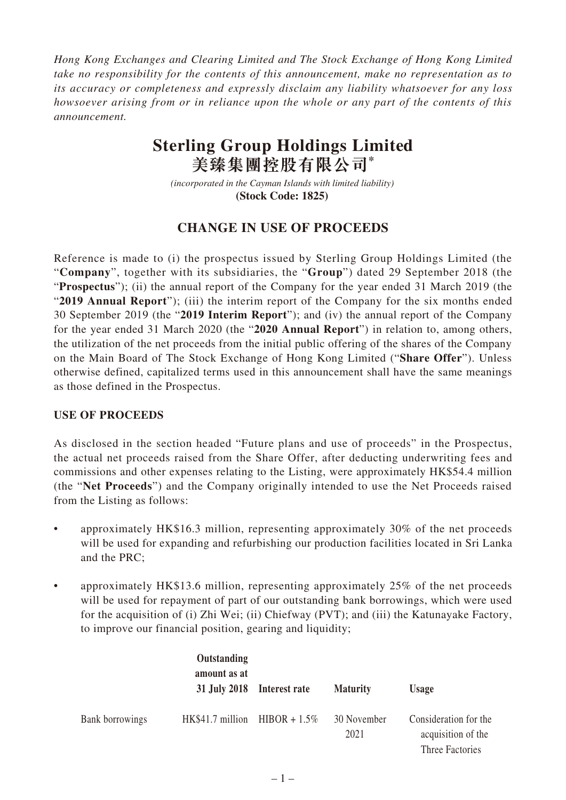*Hong Kong Exchanges and Clearing Limited and The Stock Exchange of Hong Kong Limited take no responsibility for the contents of this announcement, make no representation as to its accuracy or completeness and expressly disclaim any liability whatsoever for any loss howsoever arising from or in reliance upon the whole or any part of the contents of this announcement.*

# **Sterling Group Holdings Limited 美臻集團控股有限公司\***

*(incorporated in the Cayman Islands with limited liability)*  **(Stock Code: 1825)** 

## **CHANGE IN USE OF PROCEEDS**

Reference is made to (i) the prospectus issued by Sterling Group Holdings Limited (the "**Company**", together with its subsidiaries, the "**Group**") dated 29 September 2018 (the "**Prospectus**"); (ii) the annual report of the Company for the year ended 31 March 2019 (the "**2019 Annual Report**"); (iii) the interim report of the Company for the six months ended 30 September 2019 (the "**2019 Interim Report**"); and (iv) the annual report of the Company for the year ended 31 March 2020 (the "**2020 Annual Report**") in relation to, among others, the utilization of the net proceeds from the initial public offering of the shares of the Company on the Main Board of The Stock Exchange of Hong Kong Limited ("**Share Offer**"). Unless otherwise defined, capitalized terms used in this announcement shall have the same meanings as those defined in the Prospectus.

### **USE OF PROCEEDS**

As disclosed in the section headed "Future plans and use of proceeds" in the Prospectus, the actual net proceeds raised from the Share Offer, after deducting underwriting fees and commissions and other expenses relating to the Listing, were approximately HK\$54.4 million (the "**Net Proceeds**") and the Company originally intended to use the Net Proceeds raised from the Listing as follows:

- approximately HK\$16.3 million, representing approximately 30% of the net proceeds will be used for expanding and refurbishing our production facilities located in Sri Lanka and the PRC;
- approximately HK\$13.6 million, representing approximately 25% of the net proceeds will be used for repayment of part of our outstanding bank borrowings, which were used for the acquisition of (i) Zhi Wei; (ii) Chiefway (PVT); and (iii) the Katunayake Factory, to improve our financial position, gearing and liquidity;

|                 | Outstanding<br>amount as at       | 31 July 2018 Interest rate | <b>Maturity</b>     | <b>Usage</b>                                                   |
|-----------------|-----------------------------------|----------------------------|---------------------|----------------------------------------------------------------|
| Bank borrowings | $HK$41.7$ million $HIBOR + 1.5\%$ |                            | 30 November<br>2021 | Consideration for the<br>acquisition of the<br>Three Factories |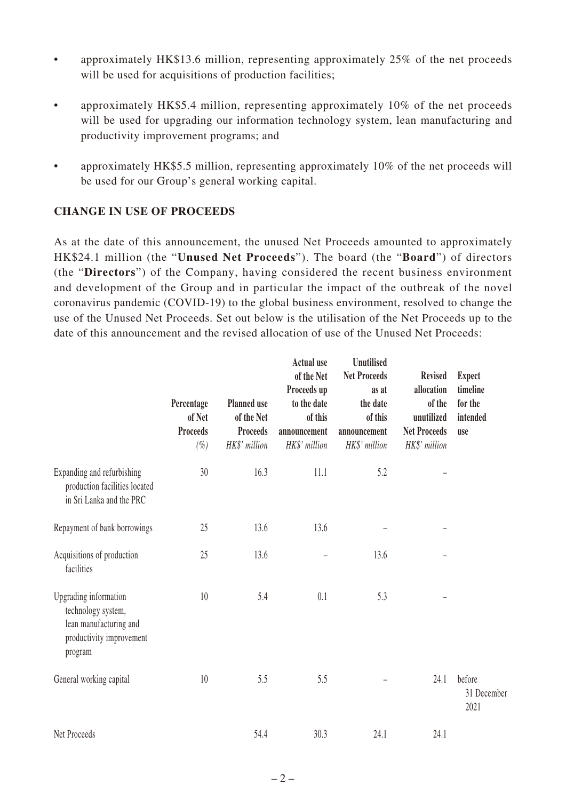- approximately HK\$13.6 million, representing approximately 25% of the net proceeds will be used for acquisitions of production facilities;
- approximately HK\$5.4 million, representing approximately 10% of the net proceeds will be used for upgrading our information technology system, lean manufacturing and productivity improvement programs; and
- approximately HK\$5.5 million, representing approximately 10% of the net proceeds will be used for our Group's general working capital.

### **CHANGE IN USE OF PROCEEDS**

As at the date of this announcement, the unused Net Proceeds amounted to approximately HK\$24.1 million (the "**Unused Net Proceeds**"). The board (the "**Board**") of directors (the "**Directors**") of the Company, having considered the recent business environment and development of the Group and in particular the impact of the outbreak of the novel coronavirus pandemic (COVID-19) to the global business environment, resolved to change the use of the Unused Net Proceeds. Set out below is the utilisation of the Net Proceeds up to the date of this announcement and the revised allocation of use of the Unused Net Proceeds:

|                                                                                                              | Percentage<br>of Net<br><b>Proceeds</b><br>$(\%)$ | <b>Planned</b> use<br>of the Net<br><b>Proceeds</b><br>HK\$' million | <b>Actual use</b><br>of the Net<br>Proceeds up<br>to the date<br>of this<br>announcement<br>HK\$' million | Unutilised<br><b>Net Proceeds</b><br>as at<br>the date<br>of this<br>announcement<br>HK\$' million | <b>Revised</b><br>allocation<br>of the<br>unutilized<br><b>Net Proceeds</b><br>HK\$' million | <b>Expect</b><br>timeline<br>for the<br>intended<br>use |
|--------------------------------------------------------------------------------------------------------------|---------------------------------------------------|----------------------------------------------------------------------|-----------------------------------------------------------------------------------------------------------|----------------------------------------------------------------------------------------------------|----------------------------------------------------------------------------------------------|---------------------------------------------------------|
| Expanding and refurbishing<br>production facilities located<br>in Sri Lanka and the PRC                      | 30                                                | 16.3                                                                 | 11.1                                                                                                      | 5.2                                                                                                |                                                                                              |                                                         |
| Repayment of bank borrowings                                                                                 | 25                                                | 13.6                                                                 | 13.6                                                                                                      |                                                                                                    |                                                                                              |                                                         |
| Acquisitions of production<br>facilities                                                                     | 25                                                | 13.6                                                                 |                                                                                                           | 13.6                                                                                               |                                                                                              |                                                         |
| Upgrading information<br>technology system,<br>lean manufacturing and<br>productivity improvement<br>program | 10                                                | 5.4                                                                  | 0.1                                                                                                       | 5.3                                                                                                |                                                                                              |                                                         |
| General working capital                                                                                      | 10                                                | 5.5                                                                  | 5.5                                                                                                       |                                                                                                    | 24.1                                                                                         | before<br>31 December<br>2021                           |
| Net Proceeds                                                                                                 |                                                   | 54.4                                                                 | 30.3                                                                                                      | 24.1                                                                                               | 24.1                                                                                         |                                                         |